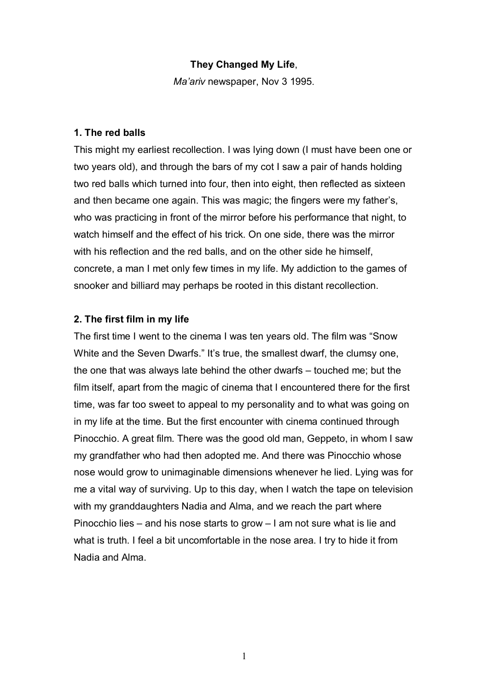### **They Changed My Life**,

*Ma'ariv* newspaper, Nov 3 1995.

#### **1. The red balls**

This might my earliest recollection. I was lying down (I must have been one or two years old), and through the bars of my cot I saw a pair of hands holding two red balls which turned into four, then into eight, then reflected as sixteen and then became one again. This was magic; the fingers were my father's, who was practicing in front of the mirror before his performance that night, to watch himself and the effect of his trick. On one side, there was the mirror with his reflection and the red balls, and on the other side he himself, concrete, a man I met only few times in my life. My addiction to the games of snooker and billiard may perhaps be rooted in this distant recollection.

#### **2. The first film in my life**

The first time I went to the cinema I was ten years old. The film was "Snow White and the Seven Dwarfs." It's true, the smallest dwarf, the clumsy one, the one that was always late behind the other dwarfs – touched me; but the film itself, apart from the magic of cinema that I encountered there for the first time, was far too sweet to appeal to my personality and to what was going on in my life at the time. But the first encounter with cinema continued through Pinocchio. A great film. There was the good old man, Geppeto, in whom I saw my grandfather who had then adopted me. And there was Pinocchio whose nose would grow to unimaginable dimensions whenever he lied. Lying was for me a vital way of surviving. Up to this day, when I watch the tape on television with my granddaughters Nadia and Alma, and we reach the part where Pinocchio lies – and his nose starts to grow – I am not sure what is lie and what is truth. I feel a bit uncomfortable in the nose area. I try to hide it from Nadia and Alma.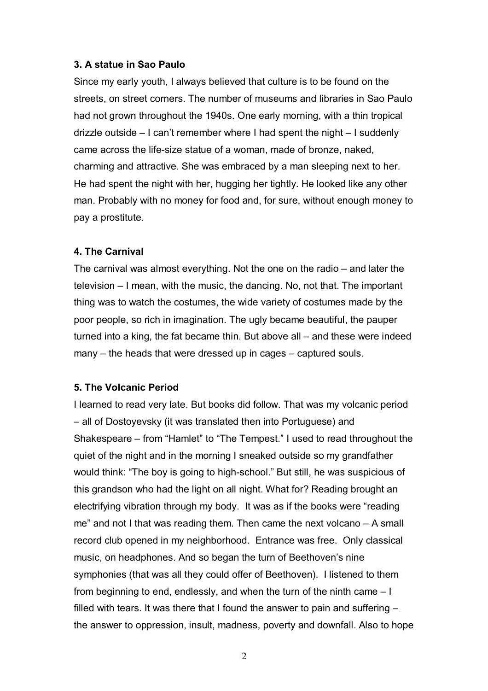### **3. A statue in Sao Paulo**

Since my early youth, I always believed that culture is to be found on the streets, on street corners. The number of museums and libraries in Sao Paulo had not grown throughout the 1940s. One early morning, with a thin tropical drizzle outside – I can't remember where I had spent the night – I suddenly came across the life-size statue of a woman, made of bronze, naked, charming and attractive. She was embraced by a man sleeping next to her. He had spent the night with her, hugging her tightly. He looked like any other man. Probably with no money for food and, for sure, without enough money to pay a prostitute.

#### **4. The Carnival**

The carnival was almost everything. Not the one on the radio – and later the television – I mean, with the music, the dancing. No, not that. The important thing was to watch the costumes, the wide variety of costumes made by the poor people, so rich in imagination. The ugly became beautiful, the pauper turned into a king, the fat became thin. But above all – and these were indeed many – the heads that were dressed up in cages – captured souls.

### **5. The Volcanic Period**

I learned to read very late. But books did follow. That was my volcanic period – all of Dostoyevsky (it was translated then into Portuguese) and Shakespeare – from "Hamlet" to "The Tempest." I used to read throughout the quiet of the night and in the morning I sneaked outside so my grandfather would think: "The boy is going to high-school." But still, he was suspicious of this grandson who had the light on all night. What for? Reading brought an electrifying vibration through my body. It was as if the books were "reading me" and not I that was reading them. Then came the next volcano – A small record club opened in my neighborhood. Entrance was free. Only classical music, on headphones. And so began the turn of Beethoven's nine symphonies (that was all they could offer of Beethoven). I listened to them from beginning to end, endlessly, and when the turn of the ninth came – I filled with tears. It was there that I found the answer to pain and suffering – the answer to oppression, insult, madness, poverty and downfall. Also to hope

2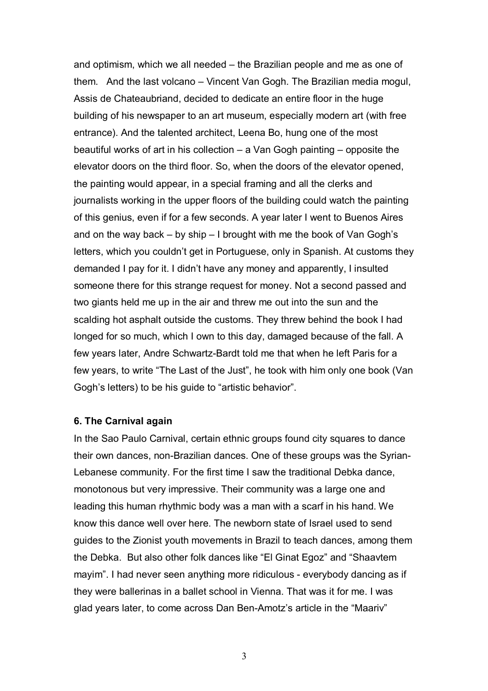and optimism, which we all needed – the Brazilian people and me as one of them. And the last volcano – Vincent Van Gogh. The Brazilian media mogul, Assis de Chateaubriand, decided to dedicate an entire floor in the huge building of his newspaper to an art museum, especially modern art (with free entrance). And the talented architect, Leena Bo, hung one of the most beautiful works of art in his collection – a Van Gogh painting – opposite the elevator doors on the third floor. So, when the doors of the elevator opened, the painting would appear, in a special framing and all the clerks and journalists working in the upper floors of the building could watch the painting of this genius, even if for a few seconds. A year later I went to Buenos Aires and on the way back – by ship – I brought with me the book of Van Gogh's letters, which you couldn't get in Portuguese, only in Spanish. At customs they demanded I pay for it. I didn't have any money and apparently, I insulted someone there for this strange request for money. Not a second passed and two giants held me up in the air and threw me out into the sun and the scalding hot asphalt outside the customs. They threw behind the book I had longed for so much, which I own to this day, damaged because of the fall. A few years later, Andre Schwartz-Bardt told me that when he left Paris for a few years, to write "The Last of the Just", he took with him only one book (Van Gogh's letters) to be his guide to "artistic behavior".

#### **6. The Carnival again**

In the Sao Paulo Carnival, certain ethnic groups found city squares to dance their own dances, non-Brazilian dances. One of these groups was the Syrian-Lebanese community. For the first time I saw the traditional Debka dance, monotonous but very impressive. Their community was a large one and leading this human rhythmic body was a man with a scarf in his hand. We know this dance well over here. The newborn state of Israel used to send guides to the Zionist youth movements in Brazil to teach dances, among them the Debka. But also other folk dances like "El Ginat Egoz" and "Shaavtem mayim". I had never seen anything more ridiculous - everybody dancing as if they were ballerinas in a ballet school in Vienna. That was it for me. I was glad years later, to come across Dan Ben-Amotz's article in the "Maariv"

3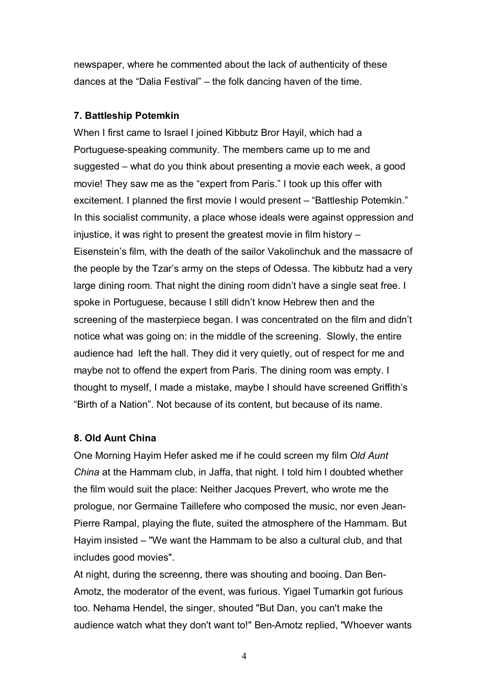newspaper, where he commented about the lack of authenticity of these dances at the "Dalia Festival" – the folk dancing haven of the time.

## **7. Battleship Potemkin**

When I first came to Israel I joined Kibbutz Bror Hayil, which had a Portuguese-speaking community. The members came up to me and suggested – what do you think about presenting a movie each week, a good movie! They saw me as the "expert from Paris." I took up this offer with excitement. I planned the first movie I would present – "Battleship Potemkin." In this socialist community, a place whose ideals were against oppression and injustice, it was right to present the greatest movie in film history – Eisenstein's film, with the death of the sailor Vakolinchuk and the massacre of the people by the Tzar's army on the steps of Odessa. The kibbutz had a very large dining room. That night the dining room didn't have a single seat free. I spoke in Portuguese, because I still didn't know Hebrew then and the screening of the masterpiece began. I was concentrated on the film and didn't notice what was going on: in the middle of the screening. Slowly, the entire audience had left the hall. They did it very quietly, out of respect for me and maybe not to offend the expert from Paris. The dining room was empty. I thought to myself, I made a mistake, maybe I should have screened Griffith's "Birth of a Nation". Not because of its content, but because of its name.

# **8. Old Aunt China**

One Morning Hayim Hefer asked me if he could screen my film *Old Aunt China* at the Hammam club, in Jaffa, that night. I told him I doubted whether the film would suit the place: Neither Jacques Prevert, who wrote me the prologue, nor Germaine Taillefere who composed the music, nor even Jean-Pierre Rampal, playing the flute, suited the atmosphere of the Hammam. But Hayim insisted – "We want the Hammam to be also a cultural club, and that includes good movies".

At night, during the screenng, there was shouting and booing. Dan Ben-Amotz, the moderator of the event, was furious. Yigael Tumarkin got furious too. Nehama Hendel, the singer, shouted "But Dan, you can't make the audience watch what they don't want to!" Ben-Amotz replied, "Whoever wants

4